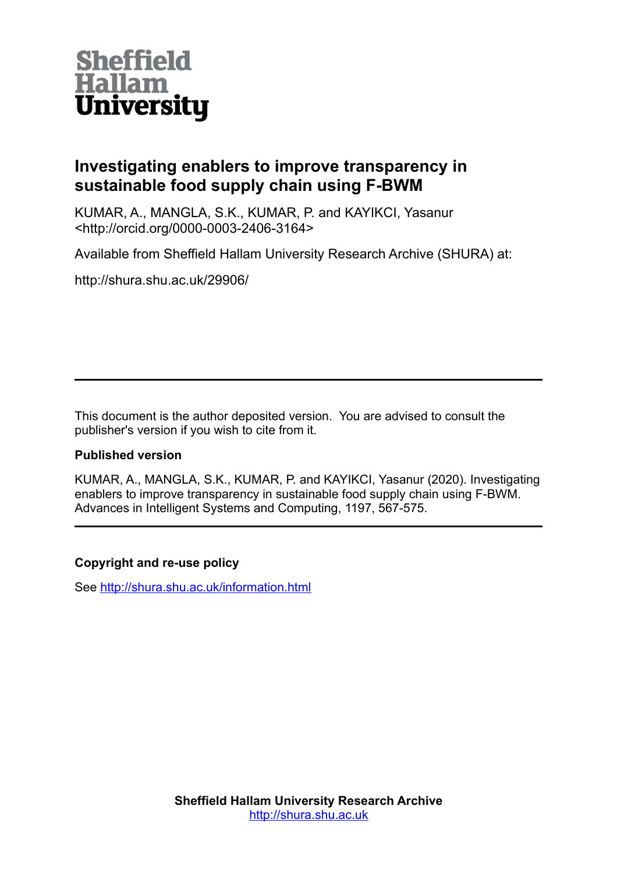

# **Investigating enablers to improve transparency in sustainable food supply chain using F-BWM**

KUMAR, A., MANGLA, S.K., KUMAR, P. and KAYIKCI, Yasanur <http://orcid.org/0000-0003-2406-3164>

Available from Sheffield Hallam University Research Archive (SHURA) at:

http://shura.shu.ac.uk/29906/

This document is the author deposited version. You are advised to consult the publisher's version if you wish to cite from it.

## **Published version**

KUMAR, A., MANGLA, S.K., KUMAR, P. and KAYIKCI, Yasanur (2020). Investigating enablers to improve transparency in sustainable food supply chain using F-BWM. Advances in Intelligent Systems and Computing, 1197, 567-575.

## **Copyright and re-use policy**

See<http://shura.shu.ac.uk/information.html>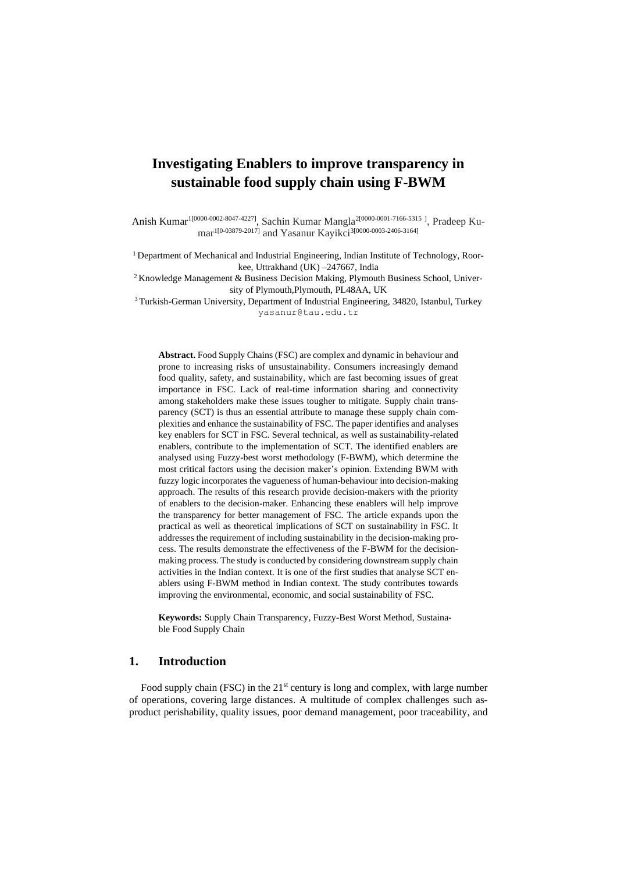## **Investigating Enablers to improve transparency in sustainable food supply chain using F-BWM**

Anish Kumar<sup>1[0000-0002-8047-4227]</sup>, Sachin Kumar Mangla<sup>2[0000-0001-7166-5315], Pradeep Ku-</sup> mar<sup>1[0-03879-2017]</sup> and Yasanur Kayikci<sup>3[0000-0003-2406-3164]</sup>

<sup>1</sup> Department of Mechanical and Industrial Engineering, Indian Institute of Technology, Roorkee, Uttrakhand (UK) –247667, India

2 Knowledge Management & Business Decision Making, Plymouth Business School, University of Plymouth, Plymouth, PL48AA, UK

<sup>3</sup>Turkish-German University, Department of Industrial Engineering, 34820, Istanbul, Turkey yasanur@tau.edu.tr

**Abstract.** Food Supply Chains (FSC) are complex and dynamic in behaviour and prone to increasing risks of unsustainability. Consumers increasingly demand food quality, safety, and sustainability, which are fast becoming issues of great importance in FSC. Lack of real-time information sharing and connectivity among stakeholders make these issues tougher to mitigate. Supply chain transparency (SCT) is thus an essential attribute to manage these supply chain complexities and enhance the sustainability of FSC. The paper identifies and analyses key enablers for SCT in FSC. Several technical, as well as sustainability-related enablers, contribute to the implementation of SCT. The identified enablers are analysed using Fuzzy-best worst methodology (F-BWM), which determine the most critical factors using the decision maker's opinion. Extending BWM with fuzzy logic incorporates the vagueness of human-behaviour into decision-making approach. The results of this research provide decision-makers with the priority of enablers to the decision-maker. Enhancing these enablers will help improve the transparency for better management of FSC. The article expands upon the practical as well as theoretical implications of SCT on sustainability in FSC. It addresses the requirement of including sustainability in the decision-making process. The results demonstrate the effectiveness of the F-BWM for the decisionmaking process. The study is conducted by considering downstream supply chain activities in the Indian context. It is one of the first studies that analyse SCT enablers using F-BWM method in Indian context. The study contributes towards improving the environmental, economic, and social sustainability of FSC.

**Keywords:** Supply Chain Transparency, Fuzzy-Best Worst Method, Sustainable Food Supply Chain

#### **1. Introduction**

Food supply chain (FSC) in the  $21<sup>st</sup>$  century is long and complex, with large number of operations, covering large distances. A multitude of complex challenges such asproduct perishability, quality issues, poor demand management, poor traceability, and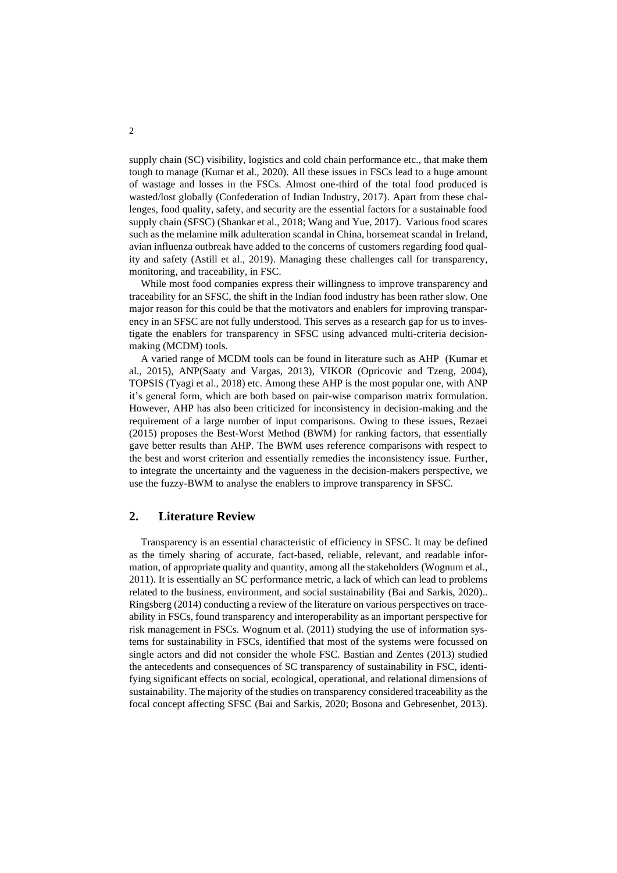supply chain (SC) visibility, logistics and cold chain performance etc., that make them tough to manage (Kumar et al., 2020). All these issues in FSCs lead to a huge amount of wastage and losses in the FSCs. Almost one-third of the total food produced is wasted/lost globally (Confederation of Indian Industry, 2017). Apart from these challenges, food quality, safety, and security are the essential factors for a sustainable food supply chain (SFSC) (Shankar et al., 2018; Wang and Yue, 2017). Various food scares such as the melamine milk adulteration scandal in China, horsemeat scandal in Ireland, avian influenza outbreak have added to the concerns of customers regarding food quality and safety (Astill et al., 2019). Managing these challenges call for transparency, monitoring, and traceability, in FSC.

While most food companies express their willingness to improve transparency and traceability for an SFSC, the shift in the Indian food industry has been rather slow. One major reason for this could be that the motivators and enablers for improving transparency in an SFSC are not fully understood. This serves as a research gap for us to investigate the enablers for transparency in SFSC using advanced multi-criteria decisionmaking (MCDM) tools.

A varied range of MCDM tools can be found in literature such as AHP (Kumar et al., 2015), ANP(Saaty and Vargas, 2013), VIKOR (Opricovic and Tzeng, 2004), TOPSIS (Tyagi et al., 2018) etc. Among these AHP is the most popular one, with ANP it's general form, which are both based on pair-wise comparison matrix formulation. However, AHP has also been criticized for inconsistency in decision-making and the requirement of a large number of input comparisons. Owing to these issues, Rezaei (2015) proposes the Best-Worst Method (BWM) for ranking factors, that essentially gave better results than AHP. The BWM uses reference comparisons with respect to the best and worst criterion and essentially remedies the inconsistency issue. Further, to integrate the uncertainty and the vagueness in the decision-makers perspective, we use the fuzzy-BWM to analyse the enablers to improve transparency in SFSC.

## **2. Literature Review**

Transparency is an essential characteristic of efficiency in SFSC. It may be defined as the timely sharing of accurate, fact-based, reliable, relevant, and readable information, of appropriate quality and quantity, among all the stakeholders (Wognum et al., 2011). It is essentially an SC performance metric, a lack of which can lead to problems related to the business, environment, and social sustainability (Bai and Sarkis, 2020).. Ringsberg (2014) conducting a review of the literature on various perspectives on traceability in FSCs, found transparency and interoperability as an important perspective for risk management in FSCs. Wognum et al. (2011) studying the use of information systems for sustainability in FSCs, identified that most of the systems were focussed on single actors and did not consider the whole FSC. Bastian and Zentes (2013) studied the antecedents and consequences of SC transparency of sustainability in FSC, identifying significant effects on social, ecological, operational, and relational dimensions of sustainability. The majority of the studies on transparency considered traceability as the focal concept affecting SFSC (Bai and Sarkis, 2020; Bosona and Gebresenbet, 2013).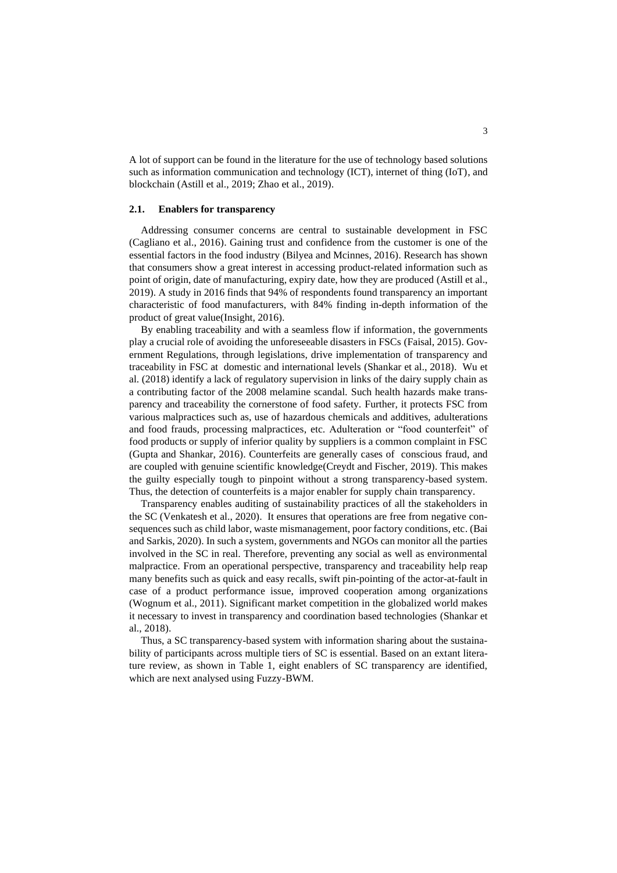A lot of support can be found in the literature for the use of technology based solutions such as information communication and technology (ICT), internet of thing (IoT), and blockchain (Astill et al., 2019; Zhao et al., 2019).

#### **2.1. Enablers for transparency**

Addressing consumer concerns are central to sustainable development in FSC (Cagliano et al., 2016). Gaining trust and confidence from the customer is one of the essential factors in the food industry (Bilyea and Mcinnes, 2016). Research has shown that consumers show a great interest in accessing product-related information such as point of origin, date of manufacturing, expiry date, how they are produced (Astill et al., 2019). A study in 2016 finds that 94% of respondents found transparency an important characteristic of food manufacturers, with 84% finding in-depth information of the product of great value(Insight, 2016).

By enabling traceability and with a seamless flow if information, the governments play a crucial role of avoiding the unforeseeable disasters in FSCs (Faisal, 2015). Government Regulations, through legislations, drive implementation of transparency and traceability in FSC at domestic and international levels (Shankar et al., 2018). Wu et al. (2018) identify a lack of regulatory supervision in links of the dairy supply chain as a contributing factor of the 2008 melamine scandal. Such health hazards make transparency and traceability the cornerstone of food safety. Further, it protects FSC from various malpractices such as, use of hazardous chemicals and additives, adulterations and food frauds, processing malpractices, etc. Adulteration or "food counterfeit" of food products or supply of inferior quality by suppliers is a common complaint in FSC (Gupta and Shankar, 2016). Counterfeits are generally cases of conscious fraud, and are coupled with genuine scientific knowledge(Creydt and Fischer, 2019). This makes the guilty especially tough to pinpoint without a strong transparency-based system. Thus, the detection of counterfeits is a major enabler for supply chain transparency.

Transparency enables auditing of sustainability practices of all the stakeholders in the SC (Venkatesh et al., 2020). It ensures that operations are free from negative consequences such as child labor, waste mismanagement, poor factory conditions, etc. (Bai and Sarkis, 2020). In such a system, governments and NGOs can monitor all the parties involved in the SC in real. Therefore, preventing any social as well as environmental malpractice. From an operational perspective, transparency and traceability help reap many benefits such as quick and easy recalls, swift pin-pointing of the actor-at-fault in case of a product performance issue, improved cooperation among organizations (Wognum et al., 2011). Significant market competition in the globalized world makes it necessary to invest in transparency and coordination based technologies (Shankar et al., 2018).

Thus, a SC transparency-based system with information sharing about the sustainability of participants across multiple tiers of SC is essential. Based on an extant literature review, as shown in Table 1, eight enablers of SC transparency are identified, which are next analysed using Fuzzy-BWM.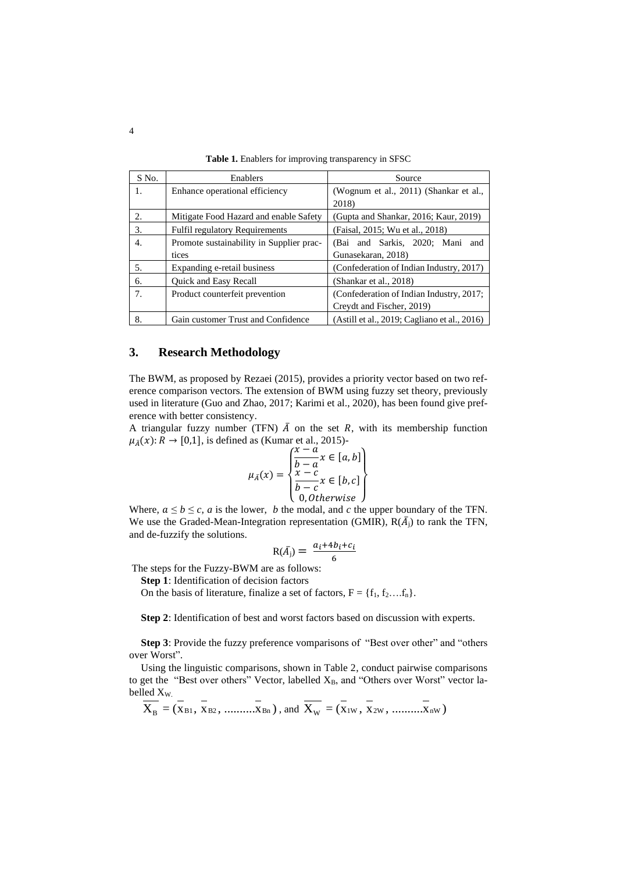| S No. | Enablers                                 | Source                                       |  |  |
|-------|------------------------------------------|----------------------------------------------|--|--|
| 1.    | Enhance operational efficiency           | (Wognum et al., 2011) (Shankar et al.,       |  |  |
|       |                                          | 2018)                                        |  |  |
| 2.    | Mitigate Food Hazard and enable Safety   | (Gupta and Shankar, 2016; Kaur, 2019)        |  |  |
| 3.    | <b>Fulfil regulatory Requirements</b>    | (Faisal, 2015; Wu et al., 2018)              |  |  |
| 4.    | Promote sustainability in Supplier prac- | (Bai and Sarkis, 2020; Mani<br>and           |  |  |
|       | tices                                    | Gunasekaran, 2018)                           |  |  |
| 5.    | Expanding e-retail business              | (Confederation of Indian Industry, 2017)     |  |  |
| 6.    | Quick and Easy Recall                    | (Shankar et al., 2018)                       |  |  |
| 7.    | Product counterfeit prevention           | (Confederation of Indian Industry, 2017;     |  |  |
|       |                                          | Creydt and Fischer, 2019)                    |  |  |
| 8.    | Gain customer Trust and Confidence       | (Astill et al., 2019; Cagliano et al., 2016) |  |  |

**Table 1.** Enablers for improving transparency in SFSC

## **3. Research Methodology**

The BWM, as proposed by Rezaei (2015), provides a priority vector based on two reference comparison vectors. The extension of BWM using fuzzy set theory, previously used in literature (Guo and Zhao, 2017; Karimi et al., 2020), has been found give preference with better consistency.

A triangular fuzzy number (TFN)  $\overline{A}$  on the set R, with its membership function  $\mu_{\bar{A}}(x)$ :  $R \to [0,1]$ , is defined as (Kumar et al., 2015)-<br>  $\mu_{\bar{A}}(x) = \frac{1}{2}$ 

$$
\mu_{\bar{A}}(x) = \begin{cases} \frac{x-a}{b-a} x \in [a, b] \\ \frac{x-c}{b-c} x \in [b, c] \\ 0, Otherwise \end{cases}
$$

Where,  $a \le b \le c$ , *a* is the lower, *b* the modal, and *c* the upper boundary of the TFN. We use the Graded-Mean-Integration representation (GMIR),  $R(\bar{A}_j)$  to rank the TFN, and de-fuzzify the solutions.

$$
R(\bar{A_j}) = \frac{a_i + 4b_i + c_i}{6}
$$

The steps for the Fuzzy-BWM are as follows:

**Step 1**: Identification of decision factors

On the basis of literature, finalize a set of factors,  $F = \{f_1, f_2, \ldots, f_n\}$ .

**Step 2**: Identification of best and worst factors based on discussion with experts.

**Step 3**: Provide the fuzzy preference vomparisons of "Best over other" and "others over Worst".

Using the linguistic comparisons, shown in Table 2, conduct pairwise comparisons to get the "Best over others" Vector, labelled  $X_B$ , and "Others over Worst" vector labelled X<sub>W.</sub>

$$
\frac{\text{Reu} X_{\text{W}}}{X_{\text{B}}} = (\overline{X}_{\text{B1}}, \overline{X}_{\text{B2}}, \dots, \overline{X}_{\text{Bn}}), \text{ and } \overline{X_{\text{W}}} = (\overline{X}_{1\text{W}}, \overline{X}_{2\text{W}}, \dots, \overline{X}_{\text{nW}})
$$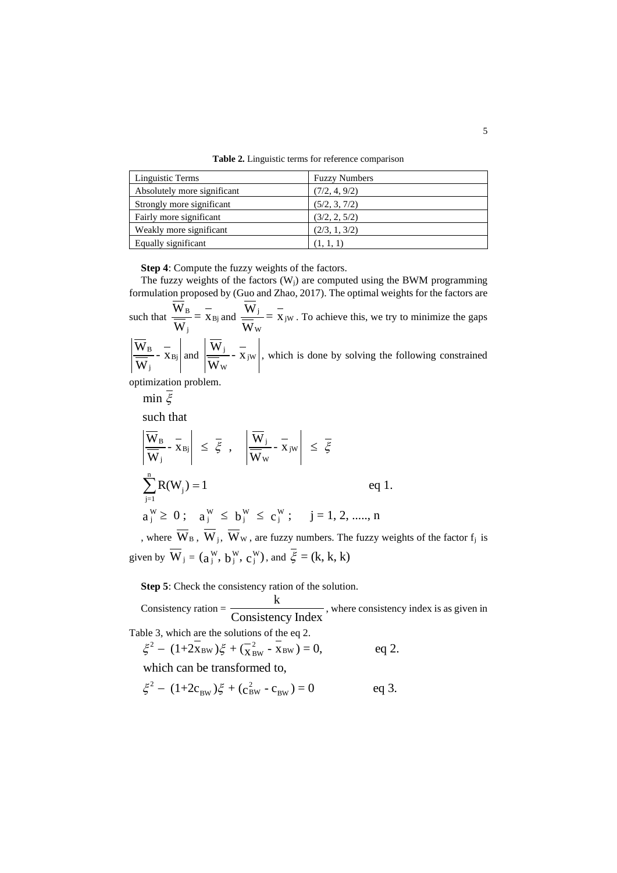**Table 2.** Linguistic terms for reference comparison

| Linguistic Terms            | <b>Fuzzy Numbers</b> |  |  |
|-----------------------------|----------------------|--|--|
| Absolutely more significant | (7/2, 4, 9/2)        |  |  |
| Strongly more significant   | (5/2, 3, 7/2)        |  |  |
| Fairly more significant     | (3/2, 2, 5/2)        |  |  |
| Weakly more significant     | (2/3, 1, 3/2)        |  |  |
| Equally significant         | (1, 1, 1)            |  |  |

**Step 4**: Compute the fuzzy weights of the factors.

The fuzzy weights of the factors  $(W_i)$  are computed using the BWM programming formulation proposed by (Guo and Zhao, 2017). The optimal weights for the factors are

such that  $\frac{W_B}{W} = \frac{1}{X_B}$ j  $\frac{W_B}{m} = \frac{-}{x}$ W and  $\frac{W_j}{m} = \frac{1}{x_j}$ W  $\frac{W_j}{W} = \frac{-}{x}$ W . To achieve this, we try to minimize the gaps в —<br>— - Хвј j  $\frac{W_B}{\underline{B}}$  - x W and  $\frac{W_j}{\frac{1}{2}}$  - X<sub>jW</sub> W  $\frac{W_j}{\sqrt{2}}$  - x W , which is done by solving the following constrained

optimization problem.

$$
\min \overline{\xi}
$$
\n
$$
\text{such that}
$$
\n
$$
\left| \frac{\overline{W}_{B}}{\overline{W}_{j}} - \overline{x}_{Bj} \right| \leq \overline{\xi}, \quad \left| \frac{\overline{W}_{j}}{\overline{W}_{w}} - \overline{x}_{jw} \right| \leq \overline{\xi}
$$
\n
$$
\sum_{j=1}^{n} R(W_{j}) = 1 \qquad \text{eq 1.}
$$
\n
$$
a_{j}^{W} \geq 0; \quad a_{j}^{W} \leq b_{j}^{W} \leq c_{j}^{W}; \quad j = 1, 2, \dots, n
$$

, where  $W_B$ ,  $W_j$ ,  $W_w$ , are fuzzy numbers. The fuzzy weights of the factor  $f_j$  is given by  $W_j = (a_j^W, b_j^W, c_j^W)$ , and  $\xi = (k, k, k)$ 

**Step 5**: Check the consistency ration of the solution.

Consistency ration =  $\frac{k}{\sqrt{1-\frac{1}{k}}}$ **Consistency Index**, where consistency index is as given in

Table 3, which are the solutions of the eq 2.

CONSISTENCY INDEX<br>
ble 3, which are the solutions of the eq 2.<br>  $\xi^2 - (1+2\bar{x}_{BW})\xi + (\bar{x}_{BW}^2 - \bar{x}_{BW}) = 0,$  eq 2.

which can be transformed to,  
\n
$$
\xi^2 - (1+2c_{BW})\xi + (c_{BW}^2 - c_{BW}) = 0
$$
 eq 3.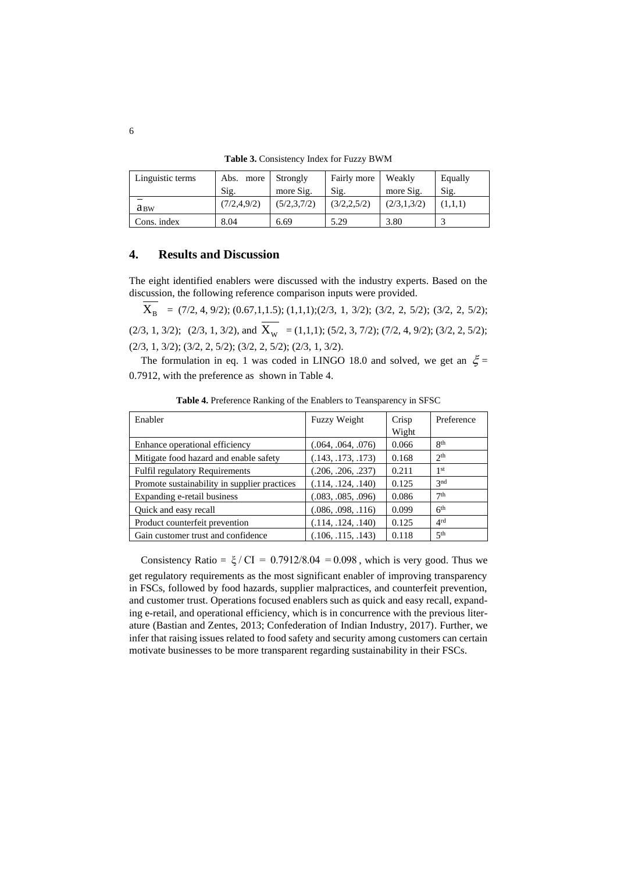**Table 3.** Consistency Index for Fuzzy BWM

| Linguistic terms | Abs. more     | Strongly    | Fairly more   | Weakly      | Equally |
|------------------|---------------|-------------|---------------|-------------|---------|
|                  | Sig.          | more Sig.   | Sig.          | more Sig.   | Sig.    |
| $a_{BW}$         | (7/2, 4, 9/2) | (5/2,3,7/2) | (3/2, 2, 5/2) | (2/3,1,3/2) |         |
| Cons. index      | 8.04          | 6.69        | 5.29          | 3.80        |         |

## **4. Results and Discussion**

The eight identified enablers were discussed with the industry experts. Based on the discussion, the following reference comparison inputs were provided.

 $X_B = (7/2, 4, 9/2); (0.67, 1, 1.5); (1, 1, 1); (2/3, 1, 3/2); (3/2, 2, 5/2); (3/2, 2, 5/2);$  $(2/3, 1, 3/2);$   $(2/3, 1, 3/2)$ , and  $X_w = (1,1,1); (5/2, 3, 7/2); (7/2, 4, 9/2); (3/2, 2, 5/2);$ (2/3, 1, 3/2); (3/2, 2, 5/2); (3/2, 2, 5/2); (2/3, 1, 3/2).

The formulation in eq. 1 was coded in LINGO 18.0 and solved, we get an  $\xi$  = 0.7912, with the preference as shown in Table 4.

| Enabler                                      | <b>Fuzzy Weight</b> | Crisp | Preference      |
|----------------------------------------------|---------------------|-------|-----------------|
|                                              |                     | Wight |                 |
| Enhance operational efficiency               | (.064, .064, .076)  | 0.066 | $R^{th}$        |
| Mitigate food hazard and enable safety       | (.143, .173, .173)  | 0.168 | 2 <sup>th</sup> |
| <b>Fulfil regulatory Requirements</b>        | (.206, .206, .237)  | 0.211 | 1 <sup>st</sup> |
| Promote sustainability in supplier practices | (.114, .124, .140)  | 0.125 | 3 <sub>nd</sub> |
| Expanding e-retail business                  | (.083, .085, .096)  | 0.086 | 7 <sup>th</sup> |
| Quick and easy recall                        | (.086, .098, .116)  | 0.099 | 6 <sup>th</sup> |
| Product counterfeit prevention               | (.114, .124, .140)  | 0.125 | 4 <sup>rd</sup> |
| Gain customer trust and confidence           | (.106, .115, .143)  | 0.118 | 5 <sup>th</sup> |

**Table 4.** Preference Ranking of the Enablers to Teansparency in SFSC

Consistency Ratio =  $\xi$  / CI = 0.7912/8.04 = 0.098, which is very good. Thus we get regulatory requirements as the most significant enabler of improving transparency in FSCs, followed by food hazards, supplier malpractices, and counterfeit prevention, and customer trust. Operations focused enablers such as quick and easy recall, expanding e-retail, and operational efficiency, which is in concurrence with the previous literature (Bastian and Zentes, 2013; Confederation of Indian Industry, 2017). Further, we infer that raising issues related to food safety and security among customers can certain motivate businesses to be more transparent regarding sustainability in their FSCs.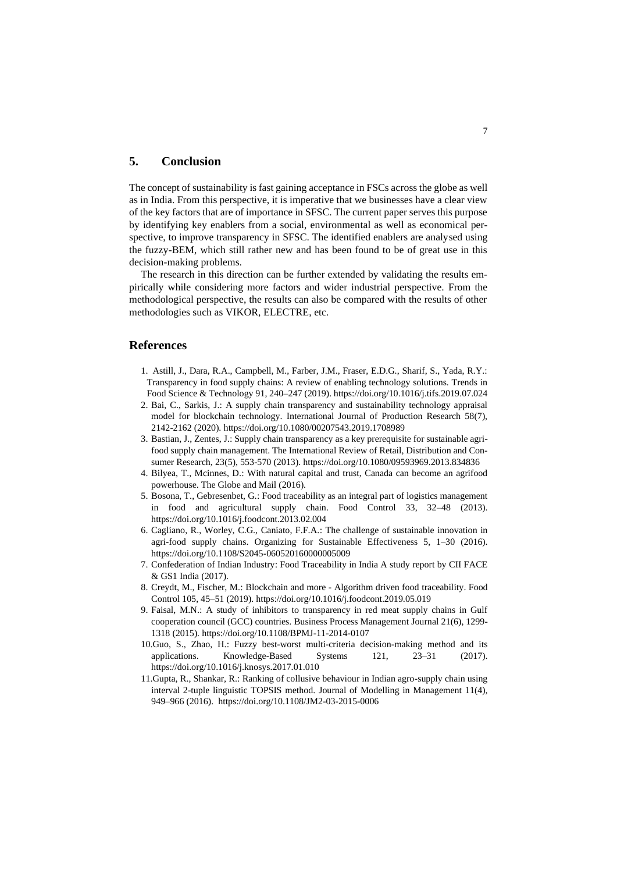### **5. Conclusion**

The concept of sustainability is fast gaining acceptance in FSCs across the globe as well as in India. From this perspective, it is imperative that we businesses have a clear view of the key factors that are of importance in SFSC. The current paper serves this purpose by identifying key enablers from a social, environmental as well as economical perspective, to improve transparency in SFSC. The identified enablers are analysed using the fuzzy-BEM, which still rather new and has been found to be of great use in this decision-making problems.

The research in this direction can be further extended by validating the results empirically while considering more factors and wider industrial perspective. From the methodological perspective, the results can also be compared with the results of other methodologies such as VIKOR, ELECTRE, etc.

### **References**

- 1. Astill, J., Dara, R.A., Campbell, M., Farber, J.M., Fraser, E.D.G., Sharif, S., Yada, R.Y.: Transparency in food supply chains: A review of enabling technology solutions. Trends in Food Science & Technology 91, 240–247 (2019). https://doi.org/10.1016/j.tifs.2019.07.024
- 2. Bai, C., Sarkis, J.: A supply chain transparency and sustainability technology appraisal model for blockchain technology. International Journal of Production Research 58(7), 2142-2162 (2020). https://doi.org/10.1080/00207543.2019.1708989
- 3. Bastian, J., Zentes, J.: Supply chain transparency as a key prerequisite for sustainable agrifood supply chain management. The International Review of Retail, Distribution and Consumer Research, 23(5), 553-570 (2013). https://doi.org/10.1080/09593969.2013.834836
- 4. Bilyea, T., Mcinnes, D.: With natural capital and trust, Canada can become an agrifood powerhouse. The Globe and Mail (2016).
- 5. Bosona, T., Gebresenbet, G.: Food traceability as an integral part of logistics management in food and agricultural supply chain. Food Control 33, 32–48 (2013). https://doi.org/10.1016/j.foodcont.2013.02.004
- 6. Cagliano, R., Worley, C.G., Caniato, F.F.A.: The challenge of sustainable innovation in agri-food supply chains. Organizing for Sustainable Effectiveness 5, 1–30 (2016). https://doi.org/10.1108/S2045-060520160000005009
- 7. Confederation of Indian Industry: Food Traceability in India A study report by CII FACE & GS1 India (2017).
- 8. Creydt, M., Fischer, M.: Blockchain and more Algorithm driven food traceability. Food Control 105, 45–51 (2019). https://doi.org/10.1016/j.foodcont.2019.05.019
- 9. Faisal, M.N.: A study of inhibitors to transparency in red meat supply chains in Gulf cooperation council (GCC) countries. Business Process Management Journal 21(6), 1299- 1318 (2015). https://doi.org/10.1108/BPMJ-11-2014-0107
- 10.Guo, S., Zhao, H.: Fuzzy best-worst multi-criteria decision-making method and its applications. Knowledge-Based Systems 121, 23–31 (2017). https://doi.org/10.1016/j.knosys.2017.01.010
- 11.Gupta, R., Shankar, R.: Ranking of collusive behaviour in Indian agro-supply chain using interval 2-tuple linguistic TOPSIS method. Journal of Modelling in Management 11(4), 949–966 (2016). https://doi.org/10.1108/JM2-03-2015-0006